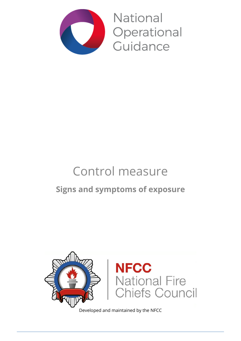

**National** Operational Guidance

# Control measure **Signs and symptoms of exposure**



Developed and maintained by the NFCC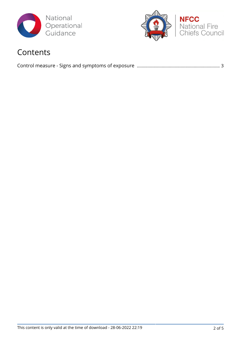



# Contents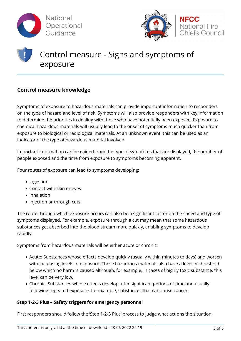



# Control measure - Signs and symptoms of exposure

## **Control measure knowledge**

Symptoms of exposure to hazardous materials can provide important information to responders on the type of hazard and level of risk. Symptoms will also provide responders with key information to determine the priorities in dealing with those who have potentially been exposed. Exposure to chemical hazardous materials will usually lead to the onset of symptoms much quicker than from exposure to biological or radiological materials. At an unknown event, this can be used as an indicator of the type of hazardous material involved.

Important information can be gained from the type of symptoms that are displayed, the number of people exposed and the time from exposure to symptoms becoming apparent.

Four routes of exposure can lead to symptoms developing:

- Ingestion
- Contact with skin or eyes
- Inhalation
- Injection or through cuts

The route through which exposure occurs can also be a significant factor on the speed and type of symptoms displayed. For example, exposure through a cut may mean that some hazardous substances get absorbed into the blood stream more quickly, enabling symptoms to develop rapidly.

Symptoms from hazardous materials will be either acute or chronic:

- Acute: Substances whose effects develop quickly (usually within minutes to days) and worsen with increasing levels of exposure. These hazardous materials also have a level or threshold below which no harm is caused although, for example, in cases of highly toxic substance, this level can be very low.
- Chronic: Substances whose effects develop after significant periods of time and usually following repeated exposure, for example, substances that can cause cancer.

#### **Step 1-2-3 Plus – Safety triggers for emergency personnel**

First responders should follow the 'Step 1-2-3 Plus' process to judge what actions the situation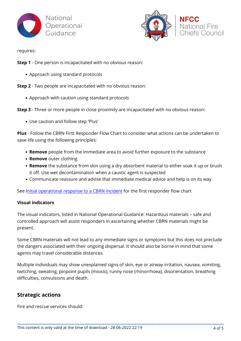



**National Fire** niefs Council

requires:

- **Step 1** One person is incapacitated with no obvious reason:
	- Approach using standard protocols

**Step 2** - Two people are incapacitated with no obvious reason:

Approach with caution using standard protocols

**Step 3** - Three or more people in close proximity are incapacitated with no obvious reason:

Use caution and follow step 'Plus'

**Plus** - Follow the CBRN First Responder Flow Chart to consider what actions can be undertaken to save life using the following principles:

- **Remove** people from the immediate area to avoid further exposure to the substance
- **Remove** outer clothing
- **Remove** the substance from skin using a dry absorbent material to either soak it up or brush it off. Use wet decontamination when a caustic agent is suspected
- Communicate reassure and advise that immediate medical advice and help is on its way

See I[nitial operational response to a CBRN incident](https://www.jesip.org.uk/uploads/media/pdf/CBRN%20JOPs/IOR_Guidance_V2_July_2015.pdf) for the first responder flow chart

#### **Visual indicators**

The visual indicators, listed in National Operational Guidance: Hazardous materials – safe and controlled approach will assist responders in ascertaining whether CBRN materials might be present.

Some CBRN materials will not lead to any immediate signs or symptoms but this does not preclude the dangers associated with their ongoing dispersal. It should also be borne in mind that some agents may travel considerable distances.

Multiple individuals may show unexplained signs of skin, eye or airway irritation, nausea, vomiting, twitching, sweating, pinpoint pupils (miosis), runny nose (rhinorrhoea), disorientation, breathing difficulties, convulsions and death.

### **Strategic actions**

Fire and rescue services should: